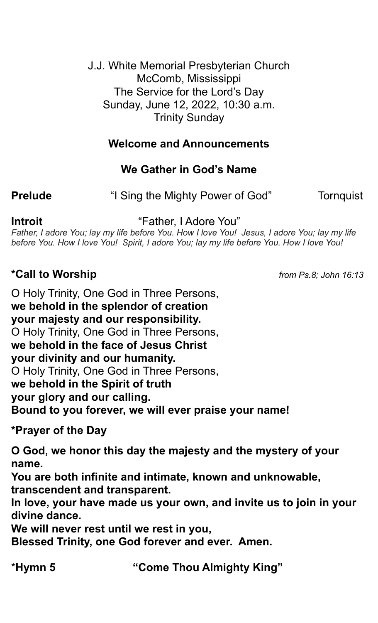J.J. White Memorial Presbyterian Church McComb, Mississippi The Service for the Lord's Day Sunday, June 12, 2022, 10:30 a.m. Trinity Sunday

# **Welcome and Announcements**

# **We Gather in God's Name**

**Prelude • The State of Sing the Mighty Power of God" Tornquist** 

**Introit** "Father, I Adore You"

*Father, I adore You; lay my life before You. How I love You! Jesus, I adore You; lay my life before You. How I love You! Spirit, I adore You; lay my life before You. How I love You!*

### **\*Call to Worship** *from Ps.8; John 16:13*

O Holy Trinity, One God in Three Persons, **we behold in the splendor of creation your majesty and our responsibility.** O Holy Trinity, One God in Three Persons, **we behold in the face of Jesus Christ your divinity and our humanity.** O Holy Trinity, One God in Three Persons, **we behold in the Spirit of truth your glory and our calling. Bound to you forever, we will ever praise your name!** 

**\*Prayer of the Day**

**O God, we honor this day the majesty and the mystery of your name.**

**You are both infinite and intimate, known and unknowable, transcendent and transparent.**

**In love, your have made us your own, and invite us to join in your divine dance.**

**We will never rest until we rest in you,**

**Blessed Trinity, one God forever and ever. Amen.**

\***Hymn 5 "Come Thou Almighty King"**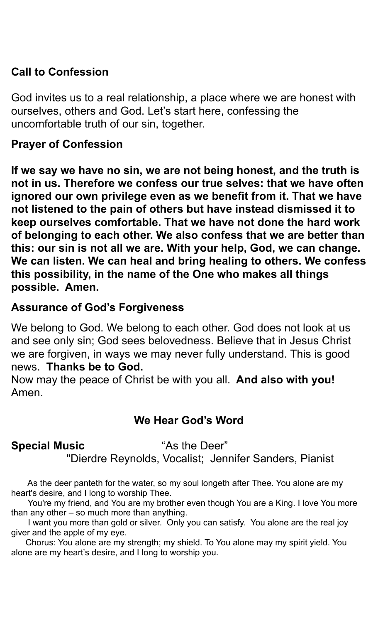# **Call to Confession**

God invites us to a real relationship, a place where we are honest with ourselves, others and God. Let's start here, confessing the uncomfortable truth of our sin, together.

#### **Prayer of Confession**

**If we say we have no sin, we are not being honest, and the truth is not in us. Therefore we confess our true selves: that we have often ignored our own privilege even as we benefit from it. That we have not listened to the pain of others but have instead dismissed it to keep ourselves comfortable. That we have not done the hard work of belonging to each other. We also confess that we are better than this: our sin is not all we are. With your help, God, we can change. We can listen. We can heal and bring healing to others. We confess this possibility, in the name of the One who makes all things possible. Amen.** 

### **Assurance of God's Forgiveness**

We belong to God. We belong to each other. God does not look at us and see only sin; God sees belovedness. Believe that in Jesus Christ we are forgiven, in ways we may never fully understand. This is good news. **Thanks be to God.**

Now may the peace of Christ be with you all. **And also with you!** Amen.

### **We Hear God's Word**

### **Special Music "As the Deer"**

"Dierdre Reynolds, Vocalist; Jennifer Sanders, Pianist

 As the deer panteth for the water, so my soul longeth after Thee. You alone are my heart's desire, and I long to worship Thee.

 You're my friend, and You are my brother even though You are a King. I love You more than any other – so much more than anything.

 I want you more than gold or silver. Only you can satisfy. You alone are the real joy giver and the apple of my eye.

 Chorus: You alone are my strength; my shield. To You alone may my spirit yield. You alone are my heart's desire, and I long to worship you.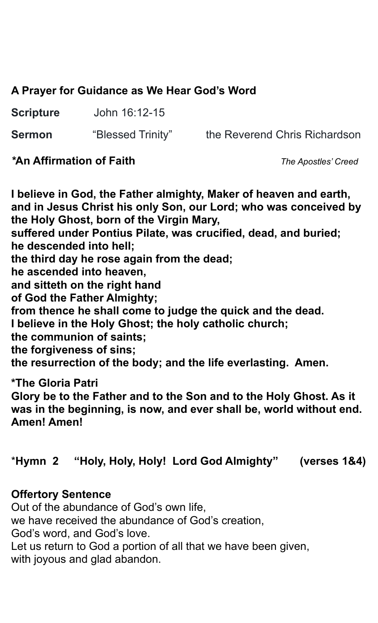# **A Prayer for Guidance as We Hear God's Word**

**Scripture** John 16:12-15

**Sermon** "Blessed Trinity"the Reverend Chris Richardson

### *\****An Affirmation of Faith** *The Apostles' Creed*

**I believe in God, the Father almighty, Maker of heaven and earth, and in Jesus Christ his only Son, our Lord; who was conceived by the Holy Ghost, born of the Virgin Mary, suffered under Pontius Pilate, was crucified, dead, and buried; he descended into hell; the third day he rose again from the dead; he ascended into heaven, and sitteth on the right hand of God the Father Almighty; from thence he shall come to judge the quick and the dead. I believe in the Holy Ghost; the holy catholic church; the communion of saints; the forgiveness of sins; the resurrection of the body; and the life everlasting. Amen. \*The Gloria Patri** 

**Glory be to the Father and to the Son and to the Holy Ghost. As it was in the beginning, is now, and ever shall be, world without end. Amen! Amen!** 

# \***Hymn 2 "Holy, Holy, Holy! Lord God Almighty" (verses 1&4)**

### **Offertory Sentence**

Out of the abundance of God's own life, we have received the abundance of God's creation, God's word, and God's love. Let us return to God a portion of all that we have been given, with joyous and glad abandon.